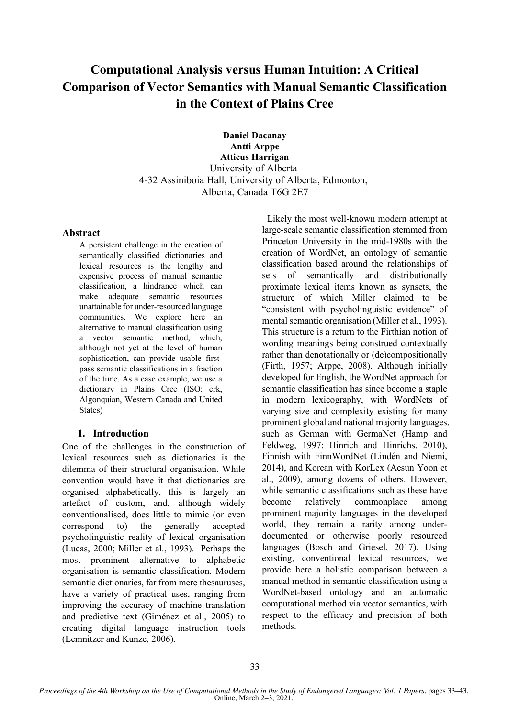# **Computational Analysis versus Human Intuition: A Critical Comparison of Vector Semantics with Manual Semantic Classification in the Context of Plains Cree**

**Daniel Dacanay Antti Arppe Atticus Harrigan** University of Alberta 4-32 Assiniboia Hall, University of Alberta, Edmonton, Alberta, Canada T6G 2E7

#### **Abstract**

A persistent challenge in the creation of semantically classified dictionaries and lexical resources is the lengthy and expensive process of manual semantic classification, a hindrance which can make adequate semantic resources unattainable for under-resourced language communities. We explore here an alternative to manual classification using a vector semantic method, which, although not yet at the level of human sophistication, can provide usable firstpass semantic classifications in a fraction of the time. As a case example, we use a dictionary in Plains Cree (ISO: crk, Algonquian, Western Canada and United States)

### **1. Introduction**

One of the challenges in the construction of lexical resources such as dictionaries is the dilemma of their structural organisation. While convention would have it that dictionaries are organised alphabetically, this is largely an artefact of custom, and, although widely conventionalised, does little to mimic (or even correspond to) the generally accepted psycholinguistic reality of lexical organisation (Lucas, 2000; Miller et al., 1993). Perhaps the most prominent alternative to alphabetic organisation is semantic classification. Modern semantic dictionaries, far from mere thesauruses, have a variety of practical uses, ranging from improving the accuracy of machine translation and predictive text (Giménez et al., 2005) to creating digital language instruction tools (Lemnitzer and Kunze, 2006).

Likely the most well-known modern attempt at large-scale semantic classification stemmed from Princeton University in the mid-1980s with the creation of WordNet, an ontology of semantic classification based around the relationships of sets of semantically and distributionally proximate lexical items known as synsets, the structure of which Miller claimed to be "consistent with psycholinguistic evidence" of mental semantic organisation (Miller et al., 1993). This structure is a return to the Firthian notion of wording meanings being construed contextually rather than denotationally or (de)compositionally (Firth, 1957; Arppe, 2008). Although initially developed for English, the WordNet approach for semantic classification has since become a staple in modern lexicography, with WordNets of varying size and complexity existing for many prominent global and national majority languages, such as German with GermaNet (Hamp and Feldweg, 1997; Hinrich and Hinrichs, 2010), Finnish with FinnWordNet (Lindén and Niemi, 2014), and Korean with KorLex (Aesun Yoon et al., 2009), among dozens of others. However, while semantic classifications such as these have become relatively commonplace among prominent majority languages in the developed world, they remain a rarity among underdocumented or otherwise poorly resourced languages (Bosch and Griesel, 2017). Using existing, conventional lexical resources, we provide here a holistic comparison between a manual method in semantic classification using a WordNet-based ontology and an automatic computational method via vector semantics, with respect to the efficacy and precision of both methods.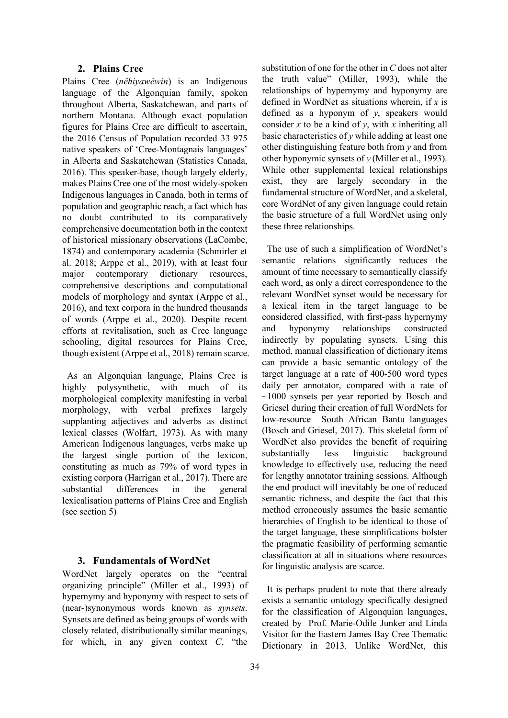### **2. Plains Cree**

Plains Cree (*nêhiyawêwin*) is an Indigenous language of the Algonquian family, spoken throughout Alberta, Saskatchewan, and parts of northern Montana. Although exact population figures for Plains Cree are difficult to ascertain, the 2016 Census of Population recorded 33 975 native speakers of 'Cree-Montagnais languages' in Alberta and Saskatchewan (Statistics Canada, 2016). This speaker-base, though largely elderly, makes Plains Cree one of the most widely-spoken Indigenous languages in Canada, both in terms of population and geographic reach, a fact which has no doubt contributed to its comparatively comprehensive documentation both in the context of historical missionary observations (LaCombe, 1874) and contemporary academia (Schmirler et al. 2018; Arppe et al., 2019), with at least four major contemporary dictionary resources, comprehensive descriptions and computational models of morphology and syntax (Arppe et al., 2016), and text corpora in the hundred thousands of words (Arppe et al., 2020). Despite recent efforts at revitalisation, such as Cree language schooling, digital resources for Plains Cree, though existent (Arppe et al., 2018) remain scarce.

 As an Algonquian language, Plains Cree is highly polysynthetic, with much of its morphological complexity manifesting in verbal morphology, with verbal prefixes largely supplanting adjectives and adverbs as distinct lexical classes (Wolfart, 1973). As with many American Indigenous languages, verbs make up the largest single portion of the lexicon, constituting as much as 79% of word types in existing corpora (Harrigan et al., 2017). There are substantial differences in the general lexicalisation patterns of Plains Cree and English (see section 5)

#### **3. Fundamentals of WordNet**

WordNet largely operates on the "central organizing principle" (Miller et al., 1993) of hypernymy and hyponymy with respect to sets of (near-)synonymous words known as *synsets*. Synsets are defined as being groups of words with closely related, distributionally similar meanings, for which, in any given context *C*, "the

substitution of one for the other in *C* does not alter the truth value" (Miller, 1993), while the relationships of hypernymy and hyponymy are defined in WordNet as situations wherein, if *x* is defined as a hyponym of *y*, speakers would consider *x* to be a kind of *y*, with *x* inheriting all basic characteristics of *y* while adding at least one other distinguishing feature both from *y* and from other hyponymic synsets of *y* (Miller et al., 1993). While other supplemental lexical relationships exist, they are largely secondary in the fundamental structure of WordNet, and a skeletal, core WordNet of any given language could retain the basic structure of a full WordNet using only these three relationships.

 The use of such a simplification of WordNet's semantic relations significantly reduces the amount of time necessary to semantically classify each word, as only a direct correspondence to the relevant WordNet synset would be necessary for a lexical item in the target language to be considered classified, with first-pass hypernymy and hyponymy relationships constructed indirectly by populating synsets. Using this method, manual classification of dictionary items can provide a basic semantic ontology of the target language at a rate of 400-500 word types daily per annotator, compared with a rate of  $\sim$ 1000 synsets per year reported by Bosch and Griesel during their creation of full WordNets for low-resource South African Bantu languages (Bosch and Griesel, 2017). This skeletal form of WordNet also provides the benefit of requiring substantially less linguistic background knowledge to effectively use, reducing the need for lengthy annotator training sessions. Although the end product will inevitably be one of reduced semantic richness, and despite the fact that this method erroneously assumes the basic semantic hierarchies of English to be identical to those of the target language, these simplifications bolster the pragmatic feasibility of performing semantic classification at all in situations where resources for linguistic analysis are scarce.

 It is perhaps prudent to note that there already exists a semantic ontology specifically designed for the classification of Algonquian languages, created by Prof. Marie-Odile Junker and Linda Visitor for the Eastern James Bay Cree Thematic Dictionary in 2013. Unlike WordNet, this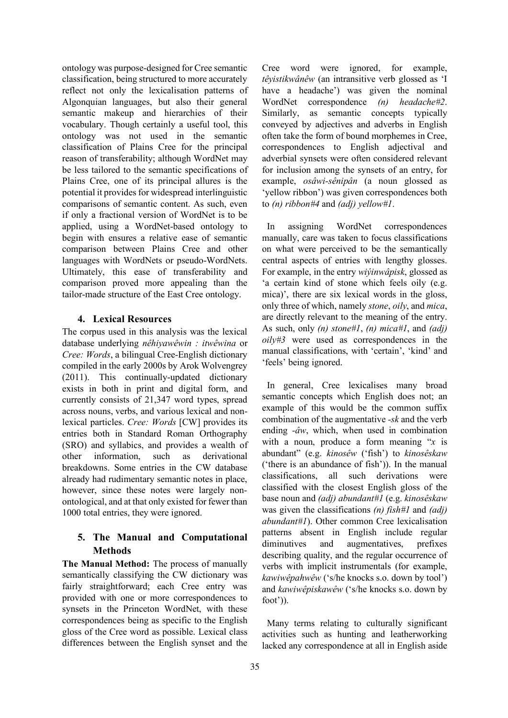ontology was purpose-designed for Cree semantic classification, being structured to more accurately reflect not only the lexicalisation patterns of Algonquian languages, but also their general semantic makeup and hierarchies of their vocabulary. Though certainly a useful tool, this ontology was not used in the semantic classification of Plains Cree for the principal reason of transferability; although WordNet may be less tailored to the semantic specifications of Plains Cree, one of its principal allures is the potential it provides for widespread interlinguistic comparisons of semantic content. As such, even if only a fractional version of WordNet is to be applied, using a WordNet-based ontology to begin with ensures a relative ease of semantic comparison between Plains Cree and other languages with WordNets or pseudo-WordNets. Ultimately, this ease of transferability and comparison proved more appealing than the tailor-made structure of the East Cree ontology.

## **4. Lexical Resources**

The corpus used in this analysis was the lexical database underlying *nêhiyawêwin : itwêwina* or *Cree: Words*, a bilingual Cree-English dictionary compiled in the early 2000s by Arok Wolvengrey (2011). This continually-updated dictionary exists in both in print and digital form, and currently consists of 21,347 word types, spread across nouns, verbs, and various lexical and nonlexical particles. *Cree: Words* [CW] provides its entries both in Standard Roman Orthography (SRO) and syllabics, and provides a wealth of other information, such as derivational breakdowns. Some entries in the CW database already had rudimentary semantic notes in place, however, since these notes were largely nonontological, and at that only existed for fewer than 1000 total entries, they were ignored.

## **5. The Manual and Computational Methods**

**The Manual Method:** The process of manually semantically classifying the CW dictionary was fairly straightforward; each Cree entry was provided with one or more correspondences to synsets in the Princeton WordNet, with these correspondences being as specific to the English gloss of the Cree word as possible. Lexical class differences between the English synset and the Cree word were ignored, for example, *têyistikwânêw* (an intransitive verb glossed as 'I have a headache') was given the nominal WordNet correspondence *(n) headache#2*. Similarly, as semantic concepts typically conveyed by adjectives and adverbs in English often take the form of bound morphemes in Cree, correspondences to English adjectival and adverbial synsets were often considered relevant for inclusion among the synsets of an entry, for example, *osâwi-sênipân* (a noun glossed as 'yellow ribbon') was given correspondences both to *(n) ribbon#4* and *(adj) yellow#1*.

 In assigning WordNet correspondences manually, care was taken to focus classifications on what were perceived to be the semantically central aspects of entries with lengthy glosses. For example, in the entry *wiýinwâpisk*, glossed as 'a certain kind of stone which feels oily (e.g. mica)', there are six lexical words in the gloss, only three of which, namely *stone*, *oily*, and *mica*, are directly relevant to the meaning of the entry. As such, only *(n) stone#1*, *(n) mica#1*, and *(adj) oily#3* were used as correspondences in the manual classifications, with 'certain', 'kind' and 'feels' being ignored.

 In general, Cree lexicalises many broad semantic concepts which English does not; an example of this would be the common suffix combination of the augmentative *-sk* and the verb ending *-âw*, which, when used in combination with a noun, produce a form meaning "*x* is abundant" (e.g. *kinosêw* ('fish') to *kinosêskaw* ('there is an abundance of fish')). In the manual classifications, all such derivations were classified with the closest English gloss of the base noun and *(adj) abundant#1* (e.g. *kinosêskaw*  was given the classifications *(n) fish#1* and *(adj) abundant#1*). Other common Cree lexicalisation patterns absent in English include regular diminutives and augmentatives, prefixes describing quality, and the regular occurrence of verbs with implicit instrumentals (for example, *kawiwêpahwêw* ('s/he knocks s.o. down by tool') and *kawiwêpiskawêw* ('s/he knocks s.o. down by foot')).

 Many terms relating to culturally significant activities such as hunting and leatherworking lacked any correspondence at all in English aside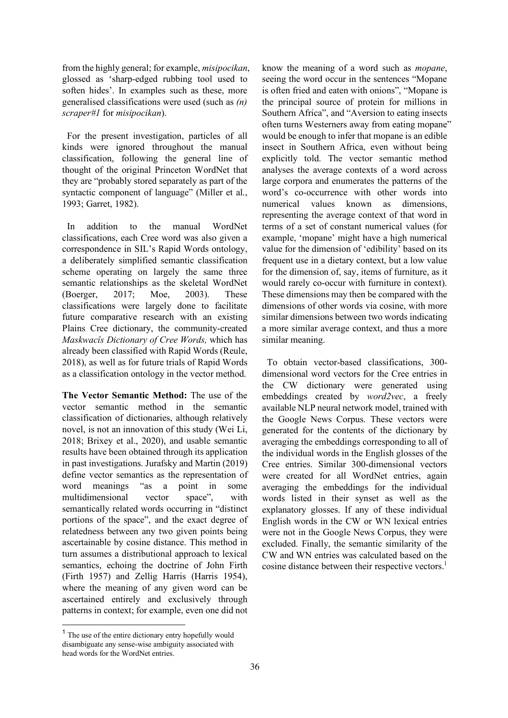from the highly general; for example, *misipocikan*, glossed as 'sharp-edged rubbing tool used to soften hides'. In examples such as these, more generalised classifications were used (such as *(n) scraper#1* for *misipocikan*).

 For the present investigation, particles of all kinds were ignored throughout the manual classification, following the general line of thought of the original Princeton WordNet that they are "probably stored separately as part of the syntactic component of language" (Miller et al., 1993; Garret, 1982).

 In addition to the manual WordNet classifications, each Cree word was also given a correspondence in SIL's Rapid Words ontology, a deliberately simplified semantic classification scheme operating on largely the same three semantic relationships as the skeletal WordNet (Boerger, 2017; Moe, 2003). These classifications were largely done to facilitate future comparative research with an existing Plains Cree dictionary, the community-created *Maskwacîs Dictionary of Cree Words,* which has already been classified with Rapid Words (Reule, 2018), as well as for future trials of Rapid Words as a classification ontology in the vector method.

**The Vector Semantic Method:** The use of the vector semantic method in the semantic classification of dictionaries, although relatively novel, is not an innovation of this study (Wei Li, 2018; Brixey et al., 2020), and usable semantic results have been obtained through its application in past investigations. Jurafsky and Martin (2019) define vector semantics as the representation of word meanings "as a point in some multidimensional vector space", with semantically related words occurring in "distinct portions of the space", and the exact degree of relatedness between any two given points being ascertainable by cosine distance. This method in turn assumes a distributional approach to lexical semantics, echoing the doctrine of John Firth (Firth 1957) and Zellig Harris (Harris 1954), where the meaning of any given word can be ascertained entirely and exclusively through patterns in context; for example, even one did not

<sup>1</sup> The use of the entire dictionary entry hopefully would disambiguate any sense-wise ambiguity associated with head words for the WordNet entries.

know the meaning of a word such as *mopane*, seeing the word occur in the sentences "Mopane is often fried and eaten with onions", "Mopane is the principal source of protein for millions in Southern Africa", and "Aversion to eating insects often turns Westerners away from eating mopane" would be enough to infer that mopane is an edible insect in Southern Africa, even without being explicitly told. The vector semantic method analyses the average contexts of a word across large corpora and enumerates the patterns of the word's co-occurrence with other words into numerical values known as dimensions, representing the average context of that word in terms of a set of constant numerical values (for example, 'mopane' might have a high numerical value for the dimension of 'edibility' based on its frequent use in a dietary context, but a low value for the dimension of, say, items of furniture, as it would rarely co-occur with furniture in context). These dimensions may then be compared with the dimensions of other words via cosine, with more similar dimensions between two words indicating a more similar average context, and thus a more similar meaning.

 To obtain vector-based classifications, 300 dimensional word vectors for the Cree entries in the CW dictionary were generated using embeddings created by *word2vec*, a freely available NLP neural network model, trained with the Google News Corpus. These vectors were generated for the contents of the dictionary by averaging the embeddings corresponding to all of the individual words in the English glosses of the Cree entries. Similar 300-dimensional vectors were created for all WordNet entries, again averaging the embeddings for the individual words listed in their synset as well as the explanatory glosses. If any of these individual English words in the CW or WN lexical entries were not in the Google News Corpus, they were excluded. Finally, the semantic similarity of the CW and WN entries was calculated based on the cosine distance between their respective vectors.<sup>1</sup>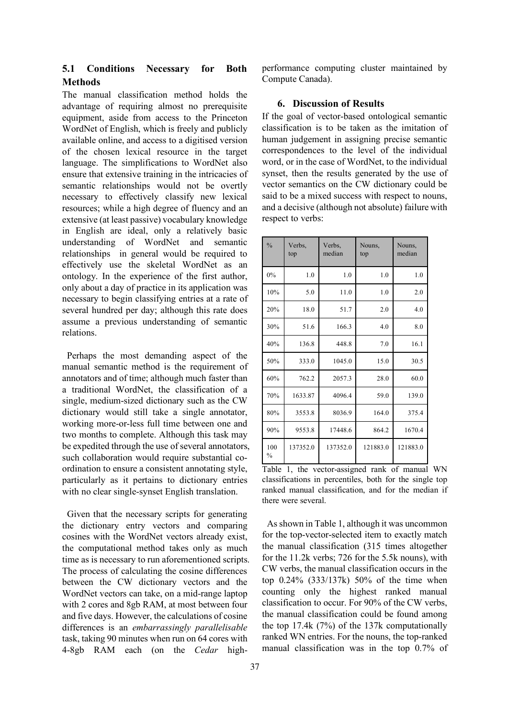# **5.1 Conditions Necessary for Both Methods**

The manual classification method holds the advantage of requiring almost no prerequisite equipment, aside from access to the Princeton WordNet of English, which is freely and publicly available online, and access to a digitised version of the chosen lexical resource in the target language. The simplifications to WordNet also ensure that extensive training in the intricacies of semantic relationships would not be overtly necessary to effectively classify new lexical resources; while a high degree of fluency and an extensive (at least passive) vocabulary knowledge in English are ideal, only a relatively basic understanding of WordNet and semantic relationships in general would be required to effectively use the skeletal WordNet as an ontology. In the experience of the first author, only about a day of practice in its application was necessary to begin classifying entries at a rate of several hundred per day; although this rate does assume a previous understanding of semantic relations.

 Perhaps the most demanding aspect of the manual semantic method is the requirement of annotators and of time; although much faster than a traditional WordNet, the classification of a single, medium-sized dictionary such as the CW dictionary would still take a single annotator, working more-or-less full time between one and two months to complete. Although this task may be expedited through the use of several annotators, such collaboration would require substantial coordination to ensure a consistent annotating style, particularly as it pertains to dictionary entries with no clear single-synset English translation.

 Given that the necessary scripts for generating the dictionary entry vectors and comparing cosines with the WordNet vectors already exist, the computational method takes only as much time as is necessary to run aforementioned scripts. The process of calculating the cosine differences between the CW dictionary vectors and the WordNet vectors can take, on a mid-range laptop with 2 cores and 8gb RAM, at most between four and five days. However, the calculations of cosine differences is an *embarrassingly parallelisable* task, taking 90 minutes when run on 64 cores with 4-8gb RAM each (on the *Cedar* highperformance computing cluster maintained by Compute Canada).

#### **6. Discussion of Results**

If the goal of vector-based ontological semantic classification is to be taken as the imitation of human judgement in assigning precise semantic correspondences to the level of the individual word, or in the case of WordNet, to the individual synset, then the results generated by the use of vector semantics on the CW dictionary could be said to be a mixed success with respect to nouns, and a decisive (although not absolute) failure with respect to verbs:

| $\frac{0}{0}$        | Verbs,<br>top | Verbs,<br>median | Nouns,<br>top | Nouns,<br>median |  |
|----------------------|---------------|------------------|---------------|------------------|--|
| 0%                   | 1.0           | 1.0              | 1.0           | 1.0              |  |
| 10%                  | 5.0           | 11.0             | 1.0           | 2.0              |  |
| 20%                  | 18.0          | 51.7             | 2.0           | 4.0              |  |
| 30%                  | 51.6          | 166.3            | 4.0           | 8.0              |  |
| 40%                  | 136.8         | 448.8            | 7.0           | 16.1             |  |
| 50%                  | 333.0         | 1045.0           | 15.0          | 30.5             |  |
| 60%                  | 762.2         | 2057.3           | 28.0          | 60.0             |  |
| 70%                  | 1633.87       | 4096.4           | 59.0          | 139.0            |  |
| 80%                  | 3553.8        | 8036.9           | 164.0         | 375.4            |  |
| 90%                  | 9553.8        | 17448.6          | 864.2         | 1670.4           |  |
| 100<br>$\frac{0}{0}$ | 137352.0      | 137352.0         | 121883.0      | 121883.0         |  |

Table 1, the vector-assigned rank of manual WN classifications in percentiles, both for the single top ranked manual classification, and for the median if there were several.

 As shown in Table 1, although it was uncommon for the top-vector-selected item to exactly match the manual classification (315 times altogether for the 11.2k verbs; 726 for the 5.5k nouns), with CW verbs, the manual classification occurs in the top 0.24% (333/137k) 50% of the time when counting only the highest ranked manual classification to occur. For 90% of the CW verbs, the manual classification could be found among the top 17.4k (7%) of the 137k computationally ranked WN entries. For the nouns, the top-ranked manual classification was in the top 0.7% of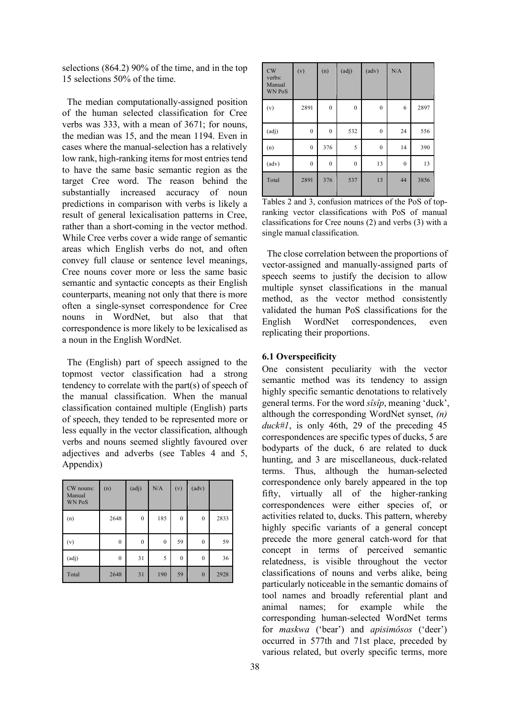selections (864.2) 90% of the time, and in the top 15 selections 50% of the time.

 The median computationally-assigned position of the human selected classification for Cree verbs was 333, with a mean of 3671; for nouns, the median was 15, and the mean 1194. Even in cases where the manual-selection has a relatively low rank, high-ranking items for most entries tend to have the same basic semantic region as the target Cree word. The reason behind the substantially increased accuracy of noun predictions in comparison with verbs is likely a result of general lexicalisation patterns in Cree, rather than a short-coming in the vector method. While Cree verbs cover a wide range of semantic areas which English verbs do not, and often convey full clause or sentence level meanings, Cree nouns cover more or less the same basic semantic and syntactic concepts as their English counterparts, meaning not only that there is more often a single-synset correspondence for Cree nouns in WordNet, but also that that correspondence is more likely to be lexicalised as a noun in the English WordNet.

 The (English) part of speech assigned to the topmost vector classification had a strong tendency to correlate with the part(s) of speech of the manual classification. When the manual classification contained multiple (English) parts of speech, they tended to be represented more or less equally in the vector classification, although verbs and nouns seemed slightly favoured over adjectives and adverbs (see Tables 4 and 5, Appendix)

| CW nouns:<br>Manual<br><b>WN PoS</b> | (n)          | (adj)            | N/A          | (v)          | (adv)            |      |
|--------------------------------------|--------------|------------------|--------------|--------------|------------------|------|
| (n)                                  | 2648         | $\boldsymbol{0}$ | 185          | $\mathbf{0}$ | $\boldsymbol{0}$ | 2833 |
| (v)                                  | $\mathbf{0}$ | $\mathbf{0}$     | $\mathbf{0}$ | 59           | $\mathbf{0}$     | 59   |
| (adj)                                | $\mathbf{0}$ | 31               | 5            | $\mathbf{0}$ | $\mathbf{0}$     | 36   |
| Total                                | 2648         | 31               | 190          | 59           | $\mathbf{0}$     | 2928 |

| CW<br>verbs:<br>Manual<br><b>WN PoS</b> | (v)              | (n)              | (adj)        | (adv)            | N/A              |      |
|-----------------------------------------|------------------|------------------|--------------|------------------|------------------|------|
| (v)                                     | 2891             | $\mathbf{0}$     | $\mathbf{0}$ | $\mathbf{0}$     | 6                | 2897 |
| (adj)                                   | $\boldsymbol{0}$ | $\boldsymbol{0}$ | 532          | $\boldsymbol{0}$ | 24               | 556  |
| (n)                                     | $\boldsymbol{0}$ | 376              | 5            | $\boldsymbol{0}$ | 14               | 390  |
| (adv)                                   | $\boldsymbol{0}$ | $\boldsymbol{0}$ | $\mathbf{0}$ | 13               | $\boldsymbol{0}$ | 13   |
| Total                                   | 2891             | 376              | 537          | 13               | 44               | 3856 |

Tables 2 and 3, confusion matrices of the PoS of topranking vector classifications with PoS of manual classifications for Cree nouns (2) and verbs (3) with a single manual classification.

 The close correlation between the proportions of vector-assigned and manually-assigned parts of speech seems to justify the decision to allow multiple synset classifications in the manual method, as the vector method consistently validated the human PoS classifications for the English WordNet correspondences, even replicating their proportions.

#### **6.1 Overspecificity**

One consistent peculiarity with the vector semantic method was its tendency to assign highly specific semantic denotations to relatively general terms. For the word *sîsîp*, meaning 'duck', although the corresponding WordNet synset, *(n) duck#1*, is only 46th, 29 of the preceding 45 correspondences are specific types of ducks, 5 are bodyparts of the duck, 6 are related to duck hunting, and 3 are miscellaneous, duck-related terms. Thus, although the human-selected correspondence only barely appeared in the top fifty, virtually all of the higher-ranking correspondences were either species of, or activities related to, ducks. This pattern, whereby highly specific variants of a general concept precede the more general catch-word for that concept in terms of perceived semantic relatedness, is visible throughout the vector classifications of nouns and verbs alike, being particularly noticeable in the semantic domains of tool names and broadly referential plant and animal names; for example while the corresponding human-selected WordNet terms for *maskwa* ('bear') and *apisimôsos* ('deer') occurred in 577th and 71st place, preceded by various related, but overly specific terms, more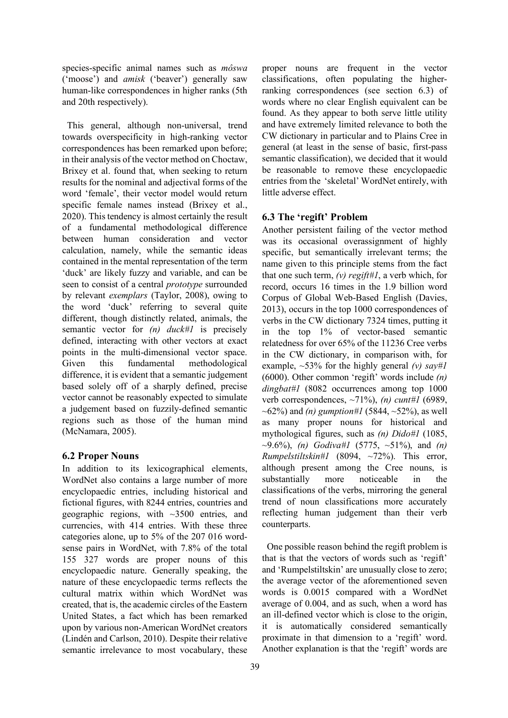species-specific animal names such as *môswa*  ('moose') and *amisk* ('beaver') generally saw human-like correspondences in higher ranks (5th and 20th respectively).

 This general, although non-universal, trend towards overspecificity in high-ranking vector correspondences has been remarked upon before; in their analysis of the vector method on Choctaw, Brixey et al. found that, when seeking to return results for the nominal and adjectival forms of the word 'female', their vector model would return specific female names instead (Brixey et al., 2020). This tendency is almost certainly the result of a fundamental methodological difference between human consideration and vector calculation, namely, while the semantic ideas contained in the mental representation of the term 'duck' are likely fuzzy and variable, and can be seen to consist of a central *prototype* surrounded by relevant *exemplars* (Taylor, 2008), owing to the word 'duck' referring to several quite different, though distinctly related, animals, the semantic vector for *(n) duck#1* is precisely defined, interacting with other vectors at exact points in the multi-dimensional vector space. Given this fundamental methodological difference, it is evident that a semantic judgement based solely off of a sharply defined, precise vector cannot be reasonably expected to simulate a judgement based on fuzzily-defined semantic regions such as those of the human mind (McNamara, 2005).

#### **6.2 Proper Nouns**

In addition to its lexicographical elements, WordNet also contains a large number of more encyclopaedic entries, including historical and fictional figures, with 8244 entries, countries and geographic regions, with  $\sim$ 3500 entries, and currencies, with 414 entries. With these three categories alone, up to 5% of the 207 016 wordsense pairs in WordNet, with 7.8% of the total 155 327 words are proper nouns of this encyclopaedic nature. Generally speaking, the nature of these encyclopaedic terms reflects the cultural matrix within which WordNet was created, that is, the academic circles of the Eastern United States, a fact which has been remarked upon by various non-American WordNet creators (Lindén and Carlson, 2010). Despite their relative semantic irrelevance to most vocabulary, these proper nouns are frequent in the vector classifications, often populating the higherranking correspondences (see section 6.3) of words where no clear English equivalent can be found. As they appear to both serve little utility and have extremely limited relevance to both the CW dictionary in particular and to Plains Cree in general (at least in the sense of basic, first-pass semantic classification), we decided that it would be reasonable to remove these encyclopaedic entries from the 'skeletal' WordNet entirely, with little adverse effect.

#### **6.3 The 'regift' Problem**

Another persistent failing of the vector method was its occasional overassignment of highly specific, but semantically irrelevant terms; the name given to this principle stems from the fact that one such term, *(v) regift#1*, a verb which, for record, occurs 16 times in the 1.9 billion word Corpus of Global Web-Based English (Davies, 2013), occurs in the top 1000 correspondences of verbs in the CW dictionary 7324 times, putting it in the top 1% of vector-based semantic relatedness for over 65% of the 11236 Cree verbs in the CW dictionary, in comparison with, for example,  $\sim$ 53% for the highly general *(v)* say#1 (6000). Other common 'regift' words include *(n) dingbat#1* (8082 occurrences among top 1000 verb correspondences, ~71%), *(n) cunt#1* (6989, ~62%) and *(n) gumption#1* (5844, ~52%), as well as many proper nouns for historical and mythological figures, such as *(n) Dido#1* (1085, ~9.6%), *(n) Godiva#1* (5775, ~51%), and *(n) Rumpelstiltskin#1* (8094, ~72%). This error, although present among the Cree nouns, is substantially more noticeable in the classifications of the verbs, mirroring the general trend of noun classifications more accurately reflecting human judgement than their verb counterparts.

 One possible reason behind the regift problem is that is that the vectors of words such as 'regift' and 'Rumpelstiltskin' are unusually close to zero; the average vector of the aforementioned seven words is 0.0015 compared with a WordNet average of 0.004, and as such, when a word has an ill-defined vector which is close to the origin, it is automatically considered semantically proximate in that dimension to a 'regift' word. Another explanation is that the 'regift' words are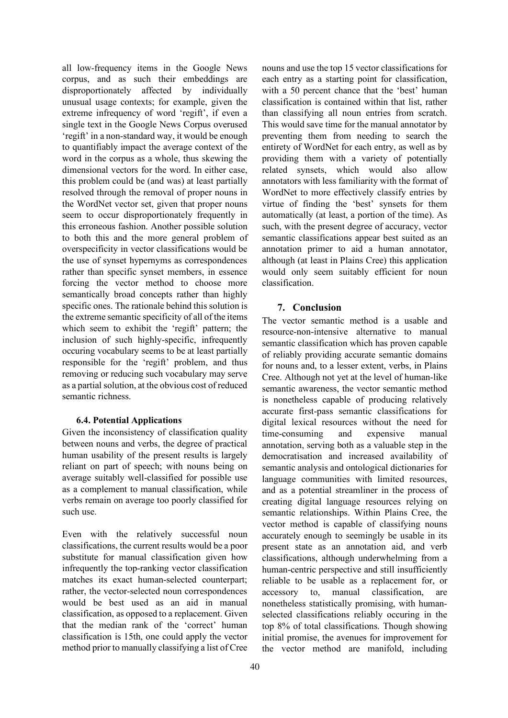all low-frequency items in the Google News corpus, and as such their embeddings are disproportionately affected by individually unusual usage contexts; for example, given the extreme infrequency of word 'regift', if even a single text in the Google News Corpus overused 'regift' in a non-standard way, it would be enough to quantifiably impact the average context of the word in the corpus as a whole, thus skewing the dimensional vectors for the word. In either case, this problem could be (and was) at least partially resolved through the removal of proper nouns in the WordNet vector set, given that proper nouns seem to occur disproportionately frequently in this erroneous fashion. Another possible solution to both this and the more general problem of overspecificity in vector classifications would be the use of synset hypernyms as correspondences rather than specific synset members, in essence forcing the vector method to choose more semantically broad concepts rather than highly specific ones. The rationale behind this solution is the extreme semantic specificity of all of the items which seem to exhibit the 'regift' pattern; the inclusion of such highly-specific, infrequently occuring vocabulary seems to be at least partially responsible for the 'regift' problem, and thus removing or reducing such vocabulary may serve as a partial solution, at the obvious cost of reduced semantic richness.

### **6.4. Potential Applications**

Given the inconsistency of classification quality between nouns and verbs, the degree of practical human usability of the present results is largely reliant on part of speech; with nouns being on average suitably well-classified for possible use as a complement to manual classification, while verbs remain on average too poorly classified for such use.

Even with the relatively successful noun classifications, the current results would be a poor substitute for manual classification given how infrequently the top-ranking vector classification matches its exact human-selected counterpart; rather, the vector-selected noun correspondences would be best used as an aid in manual classification, as opposed to a replacement. Given that the median rank of the 'correct' human classification is 15th, one could apply the vector method prior to manually classifying a list of Cree

nouns and use the top 15 vector classifications for each entry as a starting point for classification, with a 50 percent chance that the 'best' human classification is contained within that list, rather than classifying all noun entries from scratch. This would save time for the manual annotator by preventing them from needing to search the entirety of WordNet for each entry, as well as by providing them with a variety of potentially related synsets, which would also allow annotators with less familiarity with the format of WordNet to more effectively classify entries by virtue of finding the 'best' synsets for them automatically (at least, a portion of the time). As such, with the present degree of accuracy, vector semantic classifications appear best suited as an annotation primer to aid a human annotator, although (at least in Plains Cree) this application would only seem suitably efficient for noun classification.

### **7. Conclusion**

The vector semantic method is a usable and resource-non-intensive alternative to manual semantic classification which has proven capable of reliably providing accurate semantic domains for nouns and, to a lesser extent, verbs, in Plains Cree. Although not yet at the level of human-like semantic awareness, the vector semantic method is nonetheless capable of producing relatively accurate first-pass semantic classifications for digital lexical resources without the need for time-consuming and expensive manual annotation, serving both as a valuable step in the democratisation and increased availability of semantic analysis and ontological dictionaries for language communities with limited resources, and as a potential streamliner in the process of creating digital language resources relying on semantic relationships. Within Plains Cree, the vector method is capable of classifying nouns accurately enough to seemingly be usable in its present state as an annotation aid, and verb classifications, although underwhelming from a human-centric perspective and still insufficiently reliable to be usable as a replacement for, or accessory to, manual classification, are nonetheless statistically promising, with humanselected classifications reliably occuring in the top 8% of total classifications. Though showing initial promise, the avenues for improvement for the vector method are manifold, including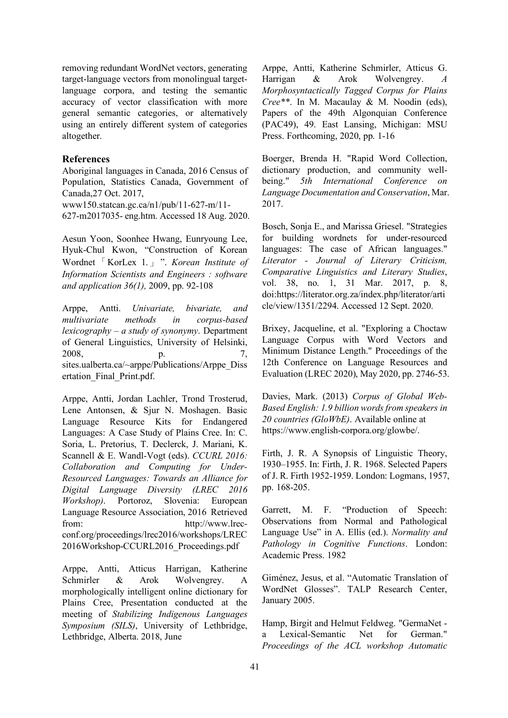removing redundant WordNet vectors, generating target-language vectors from monolingual targetlanguage corpora, and testing the semantic accuracy of vector classification with more general semantic categories, or alternatively using an entirely different system of categories altogether.

#### **References**

Aboriginal languages in Canada, 2016 Census of Population, Statistics Canada, Government of Canada,27 Oct. 2017, www150.statcan.gc.ca/n1/pub/11-627-m/11- 627-m2017035- eng.htm. Accessed 18 Aug. 2020.

Aesun Yoon, Soonhee Hwang, Eunryoung Lee, Hyuk-Chul Kwon, "Construction of Korean Wordnet「KorLex 1.」". *Korean Institute of Information Scientists and Engineers : software and application 36(1),* 2009, pp. 92-108

Arppe, Antti. *Univariate, bivariate, and multivariate methods in corpus-based lexicography – a study of synonymy*. Department of General Linguistics, University of Helsinki, 2008, p.  $7,$ sites.ualberta.ca/~arppe/Publications/Arppe\_Diss ertation\_Final\_Print.pdf.

Arppe, Antti, Jordan Lachler, Trond Trosterud, Lene Antonsen, & Sjur N. Moshagen. Basic Language Resource Kits for Endangered Languages: A Case Study of Plains Cree. In: C. Soria, L. Pretorius, T. Declerck, J. Mariani, K. Scannell & E. Wandl-Vogt (eds). *CCURL 2016: Collaboration and Computing for Under-Resourced Languages: Towards an Alliance for Digital Language Diversity (LREC 2016 Workshop)*. Portoroz, Slovenia: European Language Resource Association, 2016 Retrieved from: http://www.lrecconf.org/proceedings/lrec2016/workshops/LREC 2016Workshop-CCURL2016\_Proceedings.pdf

Arppe, Antti, Atticus Harrigan, Katherine Schmirler & Arok Wolvengrey. A morphologically intelligent online dictionary for Plains Cree, Presentation conducted at the meeting of *Stabilizing Indigenous Languages Symposium (SILS)*, University of Lethbridge, Lethbridge, Alberta. 2018, June

Arppe, Antti, Katherine Schmirler, Atticus G. Harrigan & Arok Wolvengrey. *A Morphosyntactically Tagged Corpus for Plains Cree\*\**. In M. Macaulay & M. Noodin (eds), Papers of the 49th Algonquian Conference (PAC49), 49. East Lansing, Michigan: MSU Press. Forthcoming, 2020, pp. 1-16

Boerger, Brenda H. "Rapid Word Collection, dictionary production, and community wellbeing." *5th International Conference on Language Documentation and Conservation*, Mar. 2017.

Bosch, Sonja E., and Marissa Griesel. "Strategies for building wordnets for under-resourced languages: The case of African languages." *Literator - Journal of Literary Criticism, Comparative Linguistics and Literary Studies*, vol. 38, no. 1, 31 Mar. 2017, p. 8, doi:https://literator.org.za/index.php/literator/arti cle/view/1351/2294. Accessed 12 Sept. 2020.

Brixey, Jacqueline, et al. "Exploring a Choctaw Language Corpus with Word Vectors and Minimum Distance Length." Proceedings of the 12th Conference on Language Resources and Evaluation (LREC 2020), May 2020, pp. 2746-53.

Davies, Mark. (2013) *Corpus of Global Web-Based English: 1.9 billion words from speakers in 20 countries (GloWbE)*. Available online at https://www.english-corpora.org/glowbe/.

Firth, J. R. A Synopsis of Linguistic Theory, 1930–1955. In: Firth, J. R. 1968. Selected Papers of J. R. Firth 1952-1959. London: Logmans, 1957, pp. 168-205.

Garrett, M. F. "Production of Speech: Observations from Normal and Pathological Language Use" in A. Ellis (ed.). *Normality and Pathology in Cognitive Functions*. London: Academic Press. 1982

Giménez, Jesus, et al. "Automatic Translation of WordNet Glosses". TALP Research Center, January 2005.

Hamp, Birgit and Helmut Feldweg. "GermaNet a Lexical-Semantic Net for German." *Proceedings of the ACL workshop Automatic*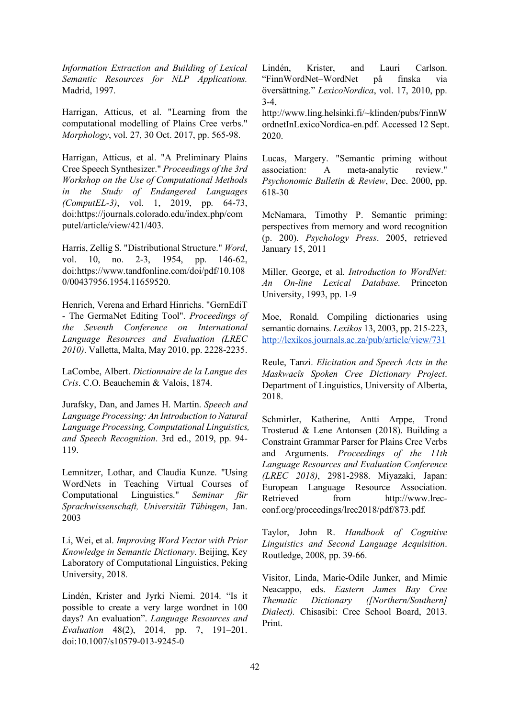*Information Extraction and Building of Lexical Semantic Resources for NLP Applications.* Madrid, 1997.

Harrigan, Atticus, et al. "Learning from the computational modelling of Plains Cree verbs." *Morphology*, vol. 27, 30 Oct. 2017, pp. 565-98.

Harrigan, Atticus, et al. "A Preliminary Plains Cree Speech Synthesizer." *Proceedings of the 3rd Workshop on the Use of Computational Methods in the Study of Endangered Languages (ComputEL-3)*, vol. 1, 2019, pp. 64-73, doi:https://journals.colorado.edu/index.php/com putel/article/view/421/403.

Harris, Zellig S. "Distributional Structure." *Word*, vol. 10, no. 2-3, 1954, pp. 146-62, doi:https://www.tandfonline.com/doi/pdf/10.108 0/00437956.1954.11659520.

Henrich, Verena and Erhard Hinrichs. "GernEdiT - The GermaNet Editing Tool". *Proceedings of the Seventh Conference on International Language Resources and Evaluation (LREC 2010)*. Valletta, Malta, May 2010, pp. 2228-2235.

LaCombe, Albert. *Dictionnaire de la Langue des Cris*. C.O. Beauchemin & Valois, 1874.

Jurafsky, Dan, and James H. Martin. *Speech and Language Processing: An Introduction to Natural Language Processing, Computational Linguistics, and Speech Recognition*. 3rd ed., 2019, pp. 94- 119.

Lemnitzer, Lothar, and Claudia Kunze. "Using WordNets in Teaching Virtual Courses of Computational Linguistics." *Seminar für Sprachwissenschaft, Universität Tübingen*, Jan. 2003

Li, Wei, et al. *Improving Word Vector with Prior Knowledge in Semantic Dictionary*. Beijing, Key Laboratory of Computational Linguistics, Peking University, 2018.

Lindén, Krister and Jyrki Niemi. 2014. "Is it possible to create a very large wordnet in 100 days? An evaluation". *Language Resources and Evaluation* 48(2), 2014, pp. 7, 191–201. doi:10.1007/s10579-013-9245-0

Lindén, Krister, and Lauri Carlson. "FinnWordNet–WordNet på finska via översättning." *LexicoNordica*, vol. 17, 2010, pp.  $3-4$ ,

http://www.ling.helsinki.fi/~klinden/pubs/FinnW ordnetInLexicoNordica-en.pdf. Accessed 12 Sept. 2020.

Lucas, Margery. "Semantic priming without association: A meta-analytic review." *Psychonomic Bulletin & Review*, Dec. 2000, pp. 618-30

McNamara, Timothy P. Semantic priming: perspectives from memory and word recognition (p. 200). *Psychology Press*. 2005, retrieved January 15, 2011

Miller, George, et al. *Introduction to WordNet: An On-line Lexical Database*. Princeton University, 1993, pp. 1-9

Moe, Ronald. Compiling dictionaries using semantic domains. *Lexikos* 13, 2003, pp. 215-223, http://lexikos.journals.ac.za/pub/article/view/731

Reule, Tanzi. *Elicitation and Speech Acts in the Maskwacîs Spoken Cree Dictionary Project*. Department of Linguistics, University of Alberta, 2018.

Schmirler, Katherine, Antti Arppe, Trond Trosterud & Lene Antonsen (2018). Building a Constraint Grammar Parser for Plains Cree Verbs and Arguments. *Proceedings of the 11th Language Resources and Evaluation Conference (LREC 2018)*, 2981-2988. Miyazaki, Japan: European Language Resource Association. Retrieved from http://www.lrecconf.org/proceedings/lrec2018/pdf/873.pdf.

Taylor, John R. *Handbook of Cognitive Linguistics and Second Language Acquisition*. Routledge, 2008, pp. 39-66.

Visitor, Linda, Marie-Odile Junker, and Mimie Neacappo, eds. *Eastern James Bay Cree Thematic Dictionary ([Northern/Southern] Dialect).* Chisasibi: Cree School Board, 2013. Print.